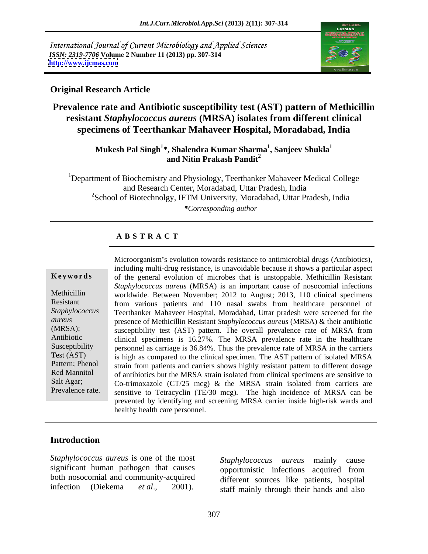International Journal of Current Microbiology and Applied Sciences *ISSN: 2319-7706* **Volume 2 Number 11 (2013) pp. 307-314 <http://www.ijcmas.com>**



### **Original Research Article**

# **Prevalence rate and Antibiotic susceptibility test (AST) pattern of Methicillin resistant** *Staphylococcus aureus* **(MRSA) isolates from different clinical specimens of Teerthankar Mahaveer Hospital, Moradabad, India**

**Mukesh Pal Singh<sup>1</sup> \*, Shalendra Kumar Sharma<sup>1</sup> , Sanjeev Shukla<sup>1</sup> and Nitin Prakash Pandit<sup>2</sup>**

<sup>1</sup>Department of Biochemistry and Physiology, Teerthanker Mahaveer Medical College and Research Center, Moradabad, Uttar Pradesh, India <sup>2</sup>School of Biotechnolgy, IFTM University, Moradabad, Uttar Pradesh, India *\*Corresponding author*

### **A B S T R A C T**

**Keywords** of the general evolution of microbes that is unstoppable. Methicillin Resistant Methicillin worldwide. Between November; 2012 to August; 2013, 110 clinical specimens Resistant from various patients and 110 nasal swabs from healthcare personnel of *Staphylococcus*  Teerthanker Mahaveer Hospital, Moradabad, Uttar pradesh were screened for the *aureus* presence of Methicillin Resistant *Staphylococcus aureus* (MRSA) & their antibiotic (MRSA); susceptibility test (AST) pattern. The overall prevalence rate of MRSA from Antibiotic clinical specimens is 16.27%. The MRSA prevalence rate in the healthcare Susceptibility personnel as carriage is 36.84%. Thus the prevalence rate of MRSA in the carriers Test (AST) is high as compared to the clinical specimen. The AST pattern of isolated MRSA Pattern; Phenol strain from patients and carriers shows highly resistant pattern to different dosage Red Mannitol of antibiotics but the MRSA strain isolated from clinical specimens are sensitive to Salt Agar; Co-trimoxazole (CT/25 mcg) & the MRSA strain isolated from carriers are Microorganism's evolution towards resistance to antimicrobial drugs (Antibiotics),<br>including multi-drug resistance, is unavoidable because it shows a particular aspect<br>of the general evolution of microbes that is unstoppa *Staphylococcus aureus* (MRSA) is an important cause of nosocomial infections sensitive to Tetracyclin (TE/30 mcg). The high incidence of MRSA can be prevented by identifying and screening MRSA carrier inside high-risk wards and healthy health care personnel.

### **Introduction**

*Staphylococcus aureus* is one of the most both nosocomial and community-acquired Staphylococcus aureus is one of the most<br>significant human pathogen that causes<br>both nosocomial and community-acquired<br>infection (Diekema *et al.*, 2001). Staff mainly through their hands and also

significant human pathogen that causes opportunistic infections acquired from opportunistic infections acquired from different sources like patients, hospital staff mainly through their hands and also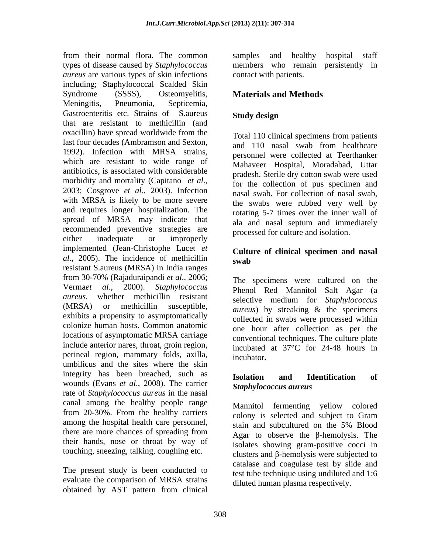from their normal flora. The common types of disease caused by *Staphylococcus*  members who remain persistently in *aureus* are various types of skin infections including; Staphylococcal Scalded Skin Syndrome (SSSS), Osteomyelitis, Materials and Methods Meningitis, Pneumonia, Septicemia, Gastroenteritis etc. Strains of S.aureus Study design that are resistant to methicillin (and oxacillin) have spread worldwide from the last four decades (Ambramson and Sexton,<br>and 110 nasal swab from healthcare 1992). Infection with MRSA strains, which are resistant to wide range of antibiotics, is associated with considerable morbidity and mortality (Capitano *et al.*,<br>2003; Cosgrove *et al.*, 2003). Infection masal swab For collection of nasal swab with MRSA is likely to be more severe and requires longer hospitalization. The spread of MRSA may indicate that recommended preventive strategies are either inadequate or improperly recessive contact the estimates. implemented (Jean-Christophe Lucet *et al.*, 2005). The incidence of methicillin swab resistant S.aureus (MRSA) in India ranges from 30-70% (Rajaduraipandi *et al*., 2006; Verma*et al*., 2000). *Staphylococcus*  Phenol Red Mannitol Salt Agar (a *aureus*, whether methicillin resistant (MRSA) or methicillin susceptible, *aureus*) by streaking & the specimens exhibits a propensity to asymptomatically colonize human hosts. Common anatomic locations of asymptomatic MRSA carriage include anterior nares, throat, groin region, perineal region, mammary folds, axilla, incubator, umbilicus and the sites where the skin integrity has been breached, such as **Isolation and Identification of** wounds (Evans *et al.*, 2008). The carrier rate of *Staphylococcus aureus* in the nasal canal among the healthy people range from 20-30%. From the healthy carriers among the hospital health care personnel, there are more chances of spreading from  $A_{\alpha\alpha\tau}$  to observe the B-hemolysis. The their hands, nose or throat by way of

evaluate the comparison of MRSA strains obtained by AST pattern from clinical

samples and healthy hospital staff contact with patients.

# **Materials and Methods**

# **Study design**

Total 110 clinical specimens from patients and 110 nasal swab from healthcare personnel were collected at Teerthanker Mahaveer Hospital, Moradabad, Uttar pradesh. Sterile dry cotton swab were used for the collection of pus specimen and nasal swab. For collection of nasal swab, the swabs were rubbed very well by rotating 5-7 times over the inner wall of ala and nasal septum and immediately processed for culture and isolation.

### **Culture of clinical specimen and nasal swab**

The specimens were cultured on the selective medium for *Staphylococcus*  collected in swabs were processed within one hour after collection as per the conventional techniques. The culture plate incubated at 37°C for 24-48 hours in incubator**.**

### **Isolation and Identification of** *Staphylococcus aureus*

touching, sneezing, talking, coughing etc.  $\frac{1}{\text{clusters and }\beta\text{-hemolysis were subjected to}}$ The present study is been conducted to<br>The present study is been conducted to the technique using undiluted and 1.6 Mannitol fermenting yellow colored colony is selected and subject to Gram stain and subcultured on the 5% Blood Agar to observe the  $\beta$ -hemolysis. The isolates showing gram-positive cocci in catalase and coagulase test by slide and test tube technique using undiluted and 1:6 diluted human plasma respectively.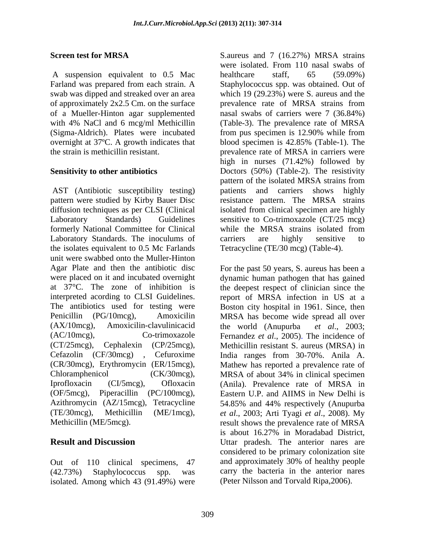A suspension equivalent to 0.5 Mac healthcare staff, 65 (59.09%) (Sigma-Aldrich). Plates were incubated from pus specimen is 12.90% while from overnight at 37°C. A growth indicates that blood specimen is 42.85% (Table-1). The

AST (Antibiotic susceptibility testing) patients and carriers shows highly pattern were studied by Kirby Bauer Disc resistance pattern. The MRSA strains diffusion techniques as per CLSI (Clinical isolated from clinical specimen are highly Laboratory Standards) Guidelines sensitive to Co-trimoxazole (CT/25 mcg) formerly National Committee for Clinical while the MRSA strains isolated from Laboratory Standards. The inoculums of carriers are highly sensitive to the isolates equivalent to 0.5 Mc Farlands unit were swabbed onto the Muller-Hinton Agar Plate and then the antibiotic disc For the past 50 years, S. aureus has been a were placed on it and incubated overnight dynamic human pathogen that has gained at 37°C. The zone of inhibition is the deepest respect of clinician since the interpreted acording to CLSI Guidelines. report of MRSA infection in US at a The antibiotics used for testing were Boston city hospital in 1961. Since, then Penicillin (PG/10mcg), Amoxicilin MRSA has become wide spread all over (AX/10mcg), Amoxicilin-clavulinicacid the world (Anupurba et al., 2003; (AC/10mcg), Co-trimoxazole Fernandez *et al*., 2005). The incidence of (CT/25mcg), Cephalexin (CP/25mcg), Methicillin resistant S. aureus (MRSA) in<br>Cefazolin (CF/30mcg) , Cefuroxime India ranges from 30-70%. Anila A. (CR/30mcg), Erythromycin (ER/15mcg), Chloramphenicol (CK/30mcg), MRSA of about 34% in clinical specimen Iprofloxacin (CI/5mcg), Ofloxacin (Anila). Prevalence rate of MRSA in (OF/5mcg), Piperacillin (PC/100mcg), Eastern U.P. and AIIMS in New Delhi is Azithromycin (AZ/15mcg), Tetracycline 54.85% and 44% respectively (Anupurba (TE/30mcg), Methicillin (ME/1mcg), *et al*., 2003; Arti Tyagi *et al*., 2008). My

isolated. Among which 43 (91.49%) were

**Screen test for MRSA** S.aureus and 7 (16.27%) MRSA strains Farland was prepared from each strain. A Staphylococcus spp. was obtained. Out of swab was dipped and streaked over an area which 19 (29.23%) were S. aureus and the of approximately 2x2.5 Cm. on the surface prevalence rate of MRSA strains from of a Mueller-Hinton agar supplemented nasal swabs of carriers were 7 (36.84%) with 4% NaCl and 6 mcg/ml Methicillin (Table-3). The prevalence rate of MRSA the strain is methicillin resistant. prevalence rate of MRSA in carriers were **Sensitivity to other antibiotics** Doctors (50%) (Table-2). The resistivity were isolated. From 110 nasal swabs of healthcare staff, 65 (59.09%) from pus specimen is 12.90% while from blood specimen is 42.85% (Table-1). The high in nurses (71.42%) followed by pattern of the isolated MRSA strains from patients and carriers shows highly while the MRSA strains isolated from carriers are highly sensitive to Tetracycline (TE/30 mcg) (Table-4).

Methicillin (ME/5mcg). result shows the prevalence rate of MRSA **Result and Discussion** Uttar pradesh. The anterior nares are Out of 110 clinical specimens, 47 and approximately 30% of healthy people (42.73%) Staphylococcus spp. was carry the bacteria in the anterior nares the world (Anupurba *et al*., 2003; Methicillin resistant S. aureus (MRSA) in India ranges from 30-70%. Anila A. Mathew has reported a prevalence rate of MRSA of about 34% in clinical specimen is about 16.27% in Moradabad District, considered to be primary colonization site (Peter Nilsson and Torvald Ripa,2006).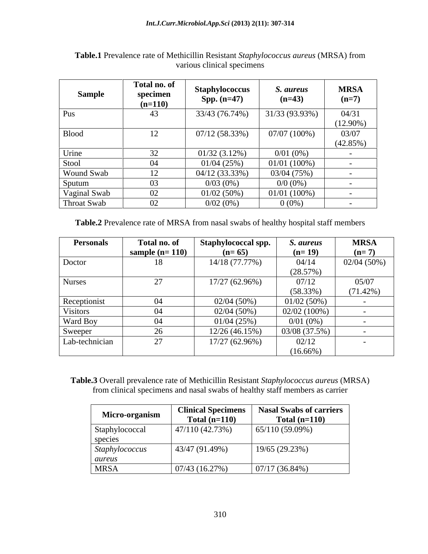| Sample                      | Total no. of<br>specimen<br>$(n=110)$ | <b>Staphylococcus</b><br><b>Spp.</b> $(n=47)$ | <i>S. aureus</i><br>$(n=43)$ | <b>MRSA</b><br>$(n=7)$ |
|-----------------------------|---------------------------------------|-----------------------------------------------|------------------------------|------------------------|
| Pus                         | 43                                    | 33/43 (76.74%)                                | 31/33 (93.93%)               | 04/31                  |
| <b>Blood</b>                | 12                                    | 07/12(58.33%)                                 | 07/07 (100%)                 | $(12.90\%)$<br>03/07   |
|                             |                                       |                                               |                              | $(42.85\%)$            |
| Urine                       | 32                                    | $01/32(3.12\%)$                               | $0/01(0\%)$                  |                        |
| Stool                       | 04                                    | 01/04 (25%)                                   | $01/01(100\%)$               |                        |
| Wound Swab                  | 12                                    | 04/12 (33.33%)                                | 03/04 (75%)                  |                        |
| Sputum                      | 03                                    | $0/03(0\%)$                                   | $0/0$ (0%)                   |                        |
|                             | 02                                    | $01/02(50\%)$                                 | $01/01(100\%)$               |                        |
| Vaginal Swab<br>Throat Swab | 02                                    | $0/02(0\%)$                                   | $0(0\%)$                     |                        |

| Table.1<br>ce rate of Methicillin Resistant Staphylococcus aureus (MRSA) :<br><b>1</b> Prevalence.<br>) from |  |
|--------------------------------------------------------------------------------------------------------------|--|
| 2.7044<br>climical specimens<br>urious -                                                                     |  |

**Table.2** Prevalence rate of MRSA from nasal swabs of healthy hospital staff members

| <b>Personals</b> | Total no. of     | Staphylococcal spp. | S. aureus      | <b>MRSA</b>   |
|------------------|------------------|---------------------|----------------|---------------|
|                  | sample $(n=110)$ | $(n=65)$            | $(n=19)$       | $(n=7)$       |
| Doctor           | 10.              | 14/18 (77.77%)      | 04/14          | $02/04(50\%)$ |
|                  |                  |                     | (28.57%)       |               |
| <b>Nurses</b>    |                  | $17/27(62.96\%)$    | 07/12          | 05/07         |
|                  |                  |                     | (58.33%)       | (71.42%)      |
| Receptionist     | U4               | 02/04(50%)          | 01/02(50%)     |               |
| Visitors         | U4               | 02/04 (50%)         | $02/02(100\%)$ |               |
| Ward Boy         | U4               | 01/04(25%)          | $0/01(0\%)$    |               |
| Sweeper          |                  | 12/26 (46.15%)      | 03/08 (37.5%)  |               |
| Lab-technician   |                  | $17/27(62.96\%)$    | 02/12          |               |
|                  |                  |                     | $(16.66\%)$    |               |

**Table.3** Overall prevalence rate of Methicillin Resistant *Staphylococcus aureus* (MRSA) from clinical specimens and nasal swabs of healthy staff members as carrier

|                | $\Box$   Clinical Specimens   $\Box$ | Nasal Swabs of carriers |  |
|----------------|--------------------------------------|-------------------------|--|
| Micro-organism | Total $(n=110)$                      | Total $(n=110)$         |  |
| Staphylococcal | 47/110(42.73%)                       | 65/110(59.09%)          |  |
| species        |                                      |                         |  |
| Staphylococcus | 143/47(91.49%)                       | 19/65 (29.23%)          |  |
| aureus         |                                      |                         |  |
| <b>MRSA</b>    | 07/43 (16.27%)                       | $07/17(36.84\%)$        |  |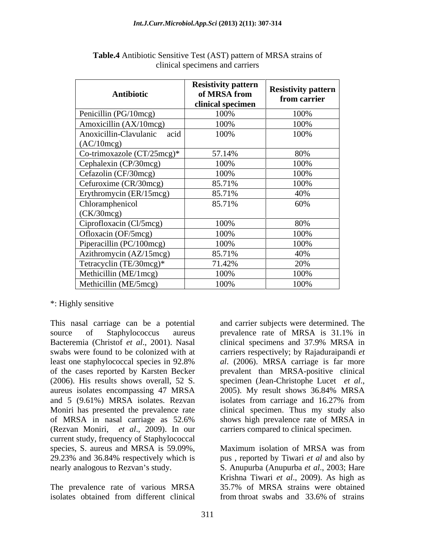| Antibiotic                               | <b>Resistivity pattern</b><br>of MRSA from<br>clinical specimen | <b>Resistivity pattern</b><br>from carrier |
|------------------------------------------|-----------------------------------------------------------------|--------------------------------------------|
| Penicillin (PG/10mcg)                    | 100%                                                            | 100%                                       |
| Amoxicillin (AX/10mcg)                   | 100%                                                            | 100%                                       |
| Anoxicillin-Clavulanic acid<br>(AC/10mg) | 100%                                                            | 100%                                       |
| Co-trimoxazole (CT/25mcg)*               | 57.14%                                                          | 80%                                        |
| Cephalexin (CP/30mcg)                    | 100%                                                            | 100%                                       |
| Cefazolin (CF/30mcg)                     | 100%                                                            | 100%                                       |
| Cefuroxime (CR/30mcg)                    | 85.71%                                                          | 100%                                       |
| Erythromycin (ER/15mcg)                  | 85.71%                                                          | 40%                                        |
| Chloramphenicol<br>$\vert$ (CK/30mcg)    | 85.71%                                                          | 60%                                        |
| Ciprofloxacin (Cl/5mcg)                  | 100%                                                            | 80%                                        |
| Ofloxacin (OF/5mcg)                      | 100%                                                            | 100%                                       |
| Piperacillin (PC/100mcg)                 | 100%                                                            | 100%                                       |
| Azithromycin (AZ/15mcg)                  | 85.71%                                                          | 40%                                        |
| Tetracyclin (TE/30mcg)*                  | 71.42%                                                          | 20%                                        |
| Methicillin (ME/1mcg)                    | 100%                                                            | 100%                                       |
| Methicillin (ME/5mcg)                    | 100%                                                            | 100%                                       |

**Table.4** Antibiotic Sensitive Test (AST) pattern of MRSA strains of clinical specimens and carriers

### \*: Highly sensitive

This nasal carriage can be a potential source of Staphylococcus aureus prevalence rate of MRSA is 31.1% in Bacteremia (Christof *et al.*, 2001). Nasal clinical specimens and 37.9% MRSA in (2006). His results shows overall, 52 S. specimen (Jean-Christophe Lucet et al., aureus isolates encompassing 47 MRSA 2005). My result shows 36.84% MRSA (Rezvan Moniri, *et al*., 2009). In our current study, frequency of Staphylococcal species, S. aureus and MRSA is 59.09%, Maximum isolation of MRSA was from 29.23% and 36.84% respectively which is pus , reported by Tiwari *et al* and also by

swabs were found to be colonized with at carriers respectively; by Rajaduraipandi *et*  least one staphylococcal species in 92.8% al. (2006). MRSA carriage is far more of the cases reported by Karsten Becker prevalent than MRSA-positive clinical and 5 (9.61%) MRSA isolates. Rezvan isolates from carriage and 16.27% from Moniri has presented the prevalence rate clinical specimen. Thus my study also of MRSA in nasal carriage as 52.6% and carrier subjects were determined. The prevalence rate of MRSA is 31.1% in clinical specimens and 37.9% MRSA in *al.* (2006). MRSA carriage is far more specimen (Jean-Christophe Lucet *et al*., 2005). My result shows 36.84% MRSA shows high prevalence rate of MRSA in carriers compared to clinical specimen.

nearly analogous to Rezvan's study. S. Anupurba (Anupurba *et al.*, 2003; Hare Krishna Tiwari et al., 2009). As high as<br>The prevalence rate of various MRSA 35.7% of MRSA strains were obtained isolates obtained from different clinical from throat swabs and 33.6% of strains Maximum isolation of MRSA was from Krishna Tiwari et al., 2009). As high as 35.7% of MRSA strains were obtained from throat swabs and 33.6% of strains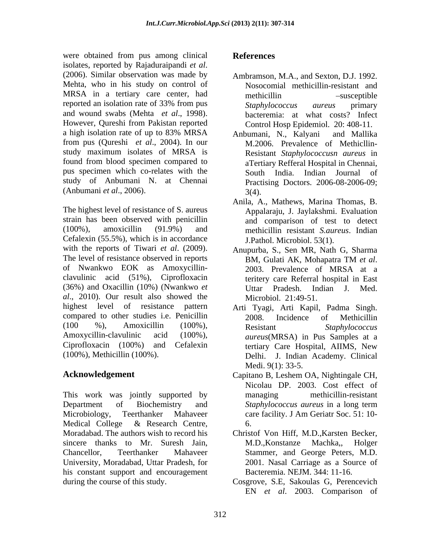were obtained from pus among clinical **References** isolates, reported by Rajaduraipandi *et al*. (2006). Similar observation was made by Ambramson, M.A., and Sexton, D.J. 1992. Mehta, who in his study on control of MRSA in a tertiary care center, had reported an isolation rate of 33% from pus Staphylococcus aureus primary and wound swabs (Mehta *et al.*, 1998). bacteremia: at what costs? Infect<br>However, Qureshi from Pakistan reported Control Hosp Epidemiol. 20: 408-11. a high isolation rate of up to 83% MRSA Anbumani, N., Kalvani and Mallika from pus (Qureshi *et al.*, 2004). In our study maximum isolates of MRSA is found from blood specimen compared to pus specimen which co-relates with the South India. Indian Journal of study of Anbumani N. at Chennai (Anbumani *et al*., 2006).

The highest level of resistance of S. aureus strain has been observed with penicillin (100%), amoxicillin (91.9%) and methicillin resistant *S.aureus*. Indian Cefalexin (55.5%), which is in accordance with the reports of Tiwari *et al.* (2009). Anupurba, S., Sen MR, Nath G, Sharma<br>The level of resistance observed in reports BM, Gulati AK, Mohapatra TM *et al.* of Nwankwo EOK as Amoxycillin clavulinic acid (51%), Ciprofloxacin (36%) and Oxacillin (10%) (Nwankwo *et al*., 2010). Our result also showed the highest level of resistance pattern Arti Tyagi, Arti Kapil, Padma Singh. compared to other studies i.e. Penicillin 2008. Incidence of Methicillin  $(100 \t 96)$ , Amoxicillin  $(100\%)$ , Resistant Staphylococcus Amoxycillin-clavulinic acid (100%), *aureus*(MRSA) in Pus Samples at a Ciprofloxacin (100%) and Cefalexin tertiary Care Hospital, AIIMS, New (100%), Methicillin (100%).

This work was jointly supported by managing methicillin-resistant Department of Biochemistry and Staphylococcus aureus in a long term Microbiology, Teerthanker Mahaveer care facility. J Am Geriatr Soc. 51: 10-Medical College & Research Centre, sincere thanks to Mr. Suresh Jain, M.D., Konstanze Machka, Holger University, Moradabad, Uttar Pradesh, for his constant support and encouragement

# **References**

- Nosocomial methicillin-resistant and methicillin -susceptible *Staphylococcus aureus* primary bacteremia: at what costs? Infect Control Hosp Epidemiol. 20: 408-11.
- Anbumani, N., Kalyani and Mallika M.2006. Prevalence of Methicllin- Resistant *Staphylococcusn aureus* in aTertiary Refferal Hospital in Chennai, South India. Indian Journal of Practising Doctors. 2006-08-2006-09;  $3(4)$ .
- Anila, A., Mathews, Marina Thomas, B. Appalaraju, J. Jaylakshmi. Evaluation and comparison of test to detect J.Pathol. Microbiol. 53(1).
- Anupurba, S., Sen MR, Nath G, Sharma BM, Gulati AK, Mohapatra TM *et al*. 2003. Prevalence of MRSA at <sup>a</sup> teritery care Referral hospital in East Uttar Pradesh. Indian J. Med. Microbiol. 21:49-51.
- 2008. Incidence of Methicillin Resistant *Staphylococcus*  tertiary Care Hospital, AIIMS, New J. Indian Academy. Clinical Medi. 9(1): 33-5.
- **Acknowledgement**  Capitano B, Leshem OA, Nightingale CH, Nicolau DP. 2003. Cost effect of managing methicillin-resistant *Staphylococcus aureus* in a long term care facility. J Am Geriatr Soc. 51: 10- 6.
- Moradabad. The authors wish to record his Christof Von Hiff, M.D.,Karsten Becker, Chancellor, Teerthanker Mahaveer Stammer, and George Peters, M.D. M.D.,Konstanze Machka,, Holger 2001. Nasal Carriage as a Source of Bacteremia. NEJM. 344: 11-16.
- during the course of this study. Cosgrove, S.E, Sakoulas G, Perencevich EN *et al*. 2003. Comparison of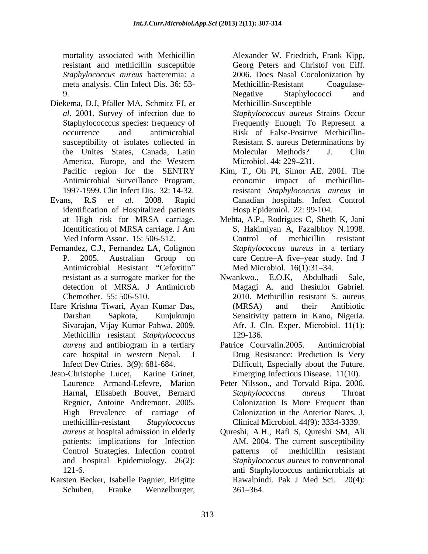mortality associated with Methicillin Alexander W. Friedrich, Frank Kipp, resistant and methicillin susceptible *Staphylococcus aureus* bacteremia: a meta analysis. Clin Infect Dis. 36: 53-<br>Methicillin-Resistant Coagulase-9. Negative Staphylococci and

- Diekema, D.J, Pfaller MA, Schmitz FJ, *et al*. 2001. Survey of infection due to *Staphylococcus aureus* Strains Occur susceptibility of isolates collected in the Unites States, Canada, Latin America, Europe, and the Western Microbiol. 44: 229–231. Antimicrobial Surveillance Program,
- identification of Hospitalized patients
- Fernandez, C.J., Fernandez LA, Colignon Antimicrobial Resistant "Cefoxitin"
- Hare Krishna Tiwari, Ayan Kumar Das, Methicillin resistant *Staphylococcus*
- Jean-Christophe Lucet, Karine Grinet, Emerging Infectious Disease. 11(10). Regnier, Antoine Andremont. 2005. High Prevalence of carriage of and hospital Epidemiology. 26(2): morallity soscietals with Medicinian Alexander M. Friedrich, Frank Kipp, Josef Airelander M. Frank Kipp, December<br>12106, December Market Market Consert and Christof Consert and Christof von Eiff. December 12106. Does Nasal
- Karsten Becker, Isabelle Pagnier, Brigitte

Methicillin-Resistant Negative Staphylococci and Methicillin-Susceptible

Staphylococccus species: frequency of Frequently Enough To Represent a occurrence and antimicrobial Risk of False-Positive Methicillin- Resistant S. aureus Determinations by Molecular Methods? J. Clin Microbiol. 44: 229–231.

- Pacific region for the SENTRY Kim, T., Oh PI, Simor AE. 2001. The 1997-1999. Clin Infect Dis. 32: 14-32. resistant *Staphylococcus aureus* in Evans, R.S *et al*. 2008. Rapid Canadian hospitals. Infect Control impact of methicillin-Hosp Epidemiol. 22: 99-104.
	- at High risk for MRSA carriage. Mehta, A.P., Rodrigues C, Sheth K, Jani Identification of MRSA carriage. J Am S, Hakimiyan A, Fazalbhoy N.1998. Med Inform Assoc. 15: 506-512. Control of methicillin resistant P. 2005. Australian Group on care Centre–A five–year study. Ind J S, Hakimiyan A, Fazalbhoy N.1998. Control of methicillin resistant *Staphylococcus aureus* in a tertiary Med Microbiol. 16(1):31-34.
	- resistant as a surrogate marker for the Mwankwo., E.O.K, Abdulhadi Sale, detection of MRSA. J Antimicrob Magagi A. and Ihesiulor Gabriel. Chemother. 55: 506-510. 2010. Methicillin resistant S. aureus Darshan Sapkota, Kunjukunju Sensitivity pattern in Kano, Nigeria. Sivarajan, Vijay Kumar Pahwa. 2009. Afr. J. Cln. Exper. Microbiol. 11(1): Nwankwo., E.O.K, (MRSA) and their Antibiotic 129-136.
	- *aureus* and antibiogram in a tertiary care hospital in western Nepal. J Drug Resistance: Prediction Is Very Infect Dev Ctries. 3(9): 681-684. Difficult, Especially about the Future. Patrice Courvalin.2005. Antimicrobial
	- Laurence Armand-Lefevre, Marion Peter Nilsson., and Torvald Ripa. 2006. Harnal, Elisabeth Bouvet, Bernard methicillin-resistant *Stapylococcus*  Clinical Microbiol. 44(9): 3334-3339. *Staphylococcus aureus* Throat Colonization Is More Frequent than Colonization in the Anterior Nares. J.
	- *aureus* at hospital admission in elderly Qureshi, A.H., Rafi S, Qureshi SM, Ali patients: implications for Infection AM. 2004. The current susceptibility Control Strategies. Infection control 121-6. anti Staphylococcus antimicrobials at patterns of methicillin resistant *Staphylococcus aureus* to conventional Rawalpindi. Pak J Med Sci. 20(4):  $361 - 364$ .